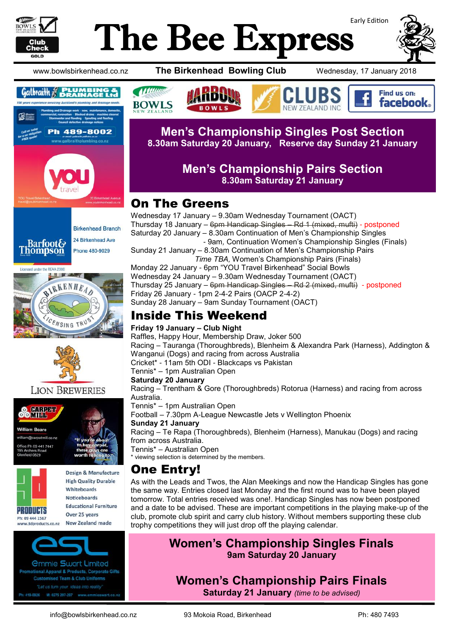

# Early Edition The Bee Express



www.bowlsbirkenhead.co.nz **The Birkenhead Bowling Club** Wednesday, 17 January 2018









#### **LION BREWERIES**





**Design & Manufacture High Quality Durable** Whitehoards **Noticeboards Educational Furniture** Over 25 years New Zealand made

*<u>Ommie Swart Limited</u>* stional Apparel & Products, Corporate Gifts **Customised Team & Club Uniforms** 419-0926 M: 0275 297-297 www.emmieswart.



#### **Men's Championship Singles Post Section 8.30am Saturday 20 January, Reserve day Sunday 21 January**

#### **Men's Championship Pairs Section 8.30am Saturday 21 January**

## On The Greens

Wednesday 17 January – 9.30am Wednesday Tournament (OACT) Thursday 18 January – 6pm Handicap Singles – Rd 1 (mixed, mufti) - postponed Saturday 20 January – 8.30am Continuation of Men's Championship Singles - 9am*,* Continuation Women's Championship Singles (Finals) Sunday 21 January – 8.30am Continuation of Men's Championship Pairs *Time TBA,* Women's Championship Pairs (Finals) Monday 22 January - 6pm "YOU Travel Birkenhead" Social Bowls Wednesday 24 January – 9.30am Wednesday Tournament (OACT) Thursday 25 January – 6pm Handicap Singles – Rd 2 (mixed, mufti) - postponed Friday 26 January - 1pm 2-4-2 Pairs (OACP 2-4-2) Sunday 28 January – 9am Sunday Tournament (OACT)

# Inside This Weekend

#### **Friday 19 January – Club Night**

Raffles, Happy Hour, Membership Draw, Joker 500 Racing – Tauranga (Thoroughbreds), Blenheim & Alexandra Park (Harness), Addington & Wanganui (Dogs) and racing from across Australia Cricket\* - 11am 5th ODI - Blackcaps vs Pakistan

Tennis\* – 1pm Australian Open

#### **Saturday 20 January**

Racing – Trentham & Gore (Thoroughbreds) Rotorua (Harness) and racing from across Australia.

Tennis\* – 1pm Australian Open

Football – 7.30pm A-League Newcastle Jets v Wellington Phoenix

#### **Sunday 21 January**

Racing – Te Rapa (Thoroughbreds), Blenheim (Harness), Manukau (Dogs) and racing from across Australia.

#### Tennis\* – Australian Open viewing selection is determined by the members.

### One Entry!

As with the Leads and Twos, the Alan Meekings and now the Handicap Singles has gone the same way. Entries closed last Monday and the first round was to have been played tomorrow. Total entries received was one!. Handicap Singles has now been postponed and a date to be advised. These are important competitions in the playing make-up of the club, promote club spirit and carry club history. Without members supporting these club trophy competitions they will just drop off the playing calendar.

#### **Women's Championship Singles Finals 9am Saturday 20 January**

**Women's Championship Pairs Finals Saturday 21 January** *(time to be advised)*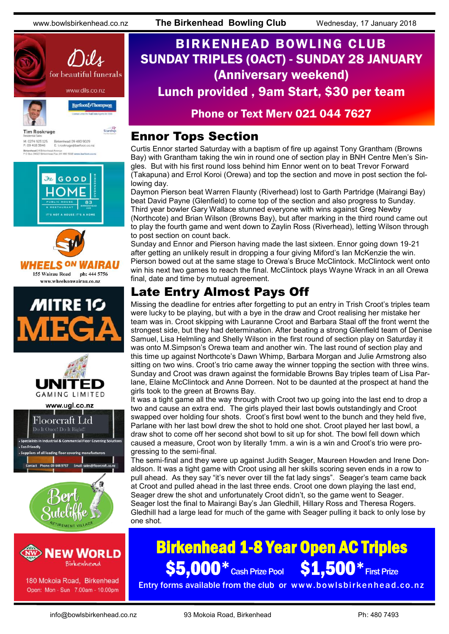

Birkenhead 09 480 9029<br>E: t.roskruge@barfoot.co M: 0274 923 125<br>P: 09 418 3846 Birkenhead 24 Brite<br>P O Box 34027 Birke









www.ugl.co.nz





180 Mokoia Road, Birkenhead Open: Mon - Sun 7.00am - 10.00pm

# BIRKENHEAD BOWLING CLUB SUNDAY TRIPLES (OACT) - SUNDAY 28 JANUARY (Anniversary weekend) Lunch provided , 9am Start, \$30 per team

#### Phone or Text Merv 021 044 7627

### Ennor Tops Section

Curtis Ennor started Saturday with a baptism of fire up against Tony Grantham (Browns Bay) with Grantham taking the win in round one of section play in BNH Centre Men's Singles. But with his first round loss behind him Ennor went on to beat Trevor Forward (Takapuna) and Errol Koroi (Orewa) and top the section and move in post section the following day.

Daymon Pierson beat Warren Flaunty (Riverhead) lost to Garth Partridge (Mairangi Bay) beat David Payne (Glenfield) to come top of the section and also progress to Sunday. Third year bowler Gary Wallace stunned everyone with wins against Greg Newby (Northcote) and Brian Wilson (Browns Bay), but after marking in the third round came out to play the fourth game and went down to Zaylin Ross (Riverhead), letting Wilson through to post section on count back.

Sunday and Ennor and Pierson having made the last sixteen. Ennor going down 19-21 after getting an unlikely result in dropping a four giving Miford's Ian McKenzie the win. Pierson bowed out at the same stage to Orewa's Bruce McClintock. McClintock went onto win his next two games to reach the final. McClintock plays Wayne Wrack in an all Orewa final, date and time by mutual agreement.

# Late Entry Almost Pays Off

Missing the deadline for entries after forgetting to put an entry in Trish Croot's triples team were lucky to be playing, but with a bye in the draw and Croot realising her mistake her team was in. Croot skipping with Lauranne Croot and Barbara Staal off the front wernt the strongest side, but they had determination. After beating a strong Glenfield team of Denise Samuel, Lisa Helmling and Shelly Wilson in the first round of section play on Saturday it was onto M.Simpson's Orewa team and another win. The last round of section play and this time up against Northcote's Dawn Whimp, Barbara Morgan and Julie Armstrong also sitting on two wins. Croot's trio came away the winner topping the section with three wins. Sunday and Croot was drawn against the formidable Browns Bay triples team of Lisa Parlane, Elaine McClintock and Anne Dorreen. Not to be daunted at the prospect at hand the girls took to the green at Browns Bay.

It was a tight game all the way through with Croot two up going into the last end to drop a two and cause an extra end. The girls played their last bowls outstandingly and Croot swapped over holding four shots. Croot's first bowl went to the bunch and they held five, Parlane with her last bowl drew the shot to hold one shot. Croot played her last bowl, a draw shot to come off her second shot bowl to sit up for shot. The bowl fell down which caused a measure, Croot won by literally 1mm. a win is a win and Croot's trio were progressing to the semi-final.

The semi-final and they were up against Judith Seager, Maureen Howden and Irene Donaldson. It was a tight game with Croot using all her skills scoring seven ends in a row to pull ahead. As they say "it's never over till the fat lady sings". Seager's team came back at Croot and pulled ahead in the last three ends. Croot one down playing the last end, Seager drew the shot and unfortunately Croot didn't, so the game went to Seager. Seager lost the final to Mairangi Bay's Jan Gledhill, Hillary Ross and Theresa Rogers. Gledhill had a large lead for much of the game with Seager pulling it back to only lose by one shot.

# Birkenhead 1-8 Year Open AC Triples \$5,000 \* Cash Prize Pool \$1,500 \* First Prize

Entry forms available from the club or www.bowlsbirkenhead.co.nz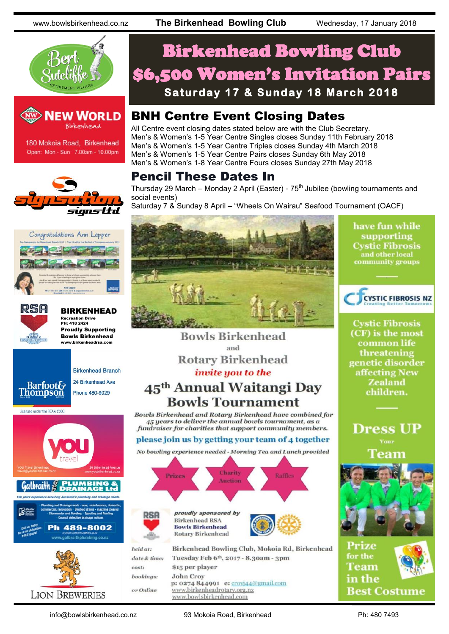www.bowlsbirkenhead.co.nz **The Birkenhead Bowling Club** Wednesday, 17 January 2018





180 Mokoia Road, Birkenhead Open: Mon - Sun 7.00am - 10.00pm







BIRKENHEAD Recreation Drive PH: 418 2424 Proudly Supporting Bowls Birkenhead www.birkenheadrsa.com



**Birkenhead Branch** 





Licensed under the REAA 2008



# Birkenhead Bowling Club \$6,500 Women's Invitation Pairs **Saturday 17 & Sunday 18 March 2018**

# BNH Centre Event Closing Dates

All Centre event closing dates stated below are with the Club Secretary. Men's & Women's 1-5 Year Centre Singles closes Sunday 11th February 2018 Men's & Women's 1-5 Year Centre Triples closes Sunday 4th March 2018 Men's & Women's 1-5 Year Centre Pairs closes Sunday 6th May 2018 Men's & Women's 1-8 Year Centre Fours closes Sunday 27th May 2018

## Pencil These Dates In

Thursday 29 March – Monday 2 April (Easter) -  $75<sup>th</sup>$  Jubilee (bowling tournaments and social events)

Saturday 7 & Sunday 8 April – "Wheels On Wairau" Seafood Tournament (OACF)



**Bowls Birkenhead** 

and

**Rotary Birkenhead** 

invite you to the

45<sup>th</sup> Annual Waitangi Day

**Bowls Tournament** 

45 years to deliver the annual bowls tournament, as a

fundraiser for charities that support community members. please join us by getting your team of 4 together No bowling experience needed - Morning Tea and Lunch provided

Charity

Auction

Birkenhead Bowling Club, Mokoia Rd, Birkenhead

proudly sponsored by **Birkenhead RSA Bowls Birkenhead** 

**Rotary Birkenhead** 

\$15 per player

**John Croy** 

Raffle

have fun while supporting **Cystic Fibrosis** and other local<br>community groups



**Cystic Fibrosis** (CF) is the most common life threatening genetic disorder affecting New **Zealand** children.

**Dress UP** Team





info@bowlsbirkenhead.co.nz 93 Mokoia Road, Birkenhead Ph: 480 7493

Tuesday Feb 6th, 2017 - 8.30am - 3pm

p: 0274 844991 e: crovi44@gmail.com

www.birkenheadrotary.org.nz

www.bowlsbirkenhead.com